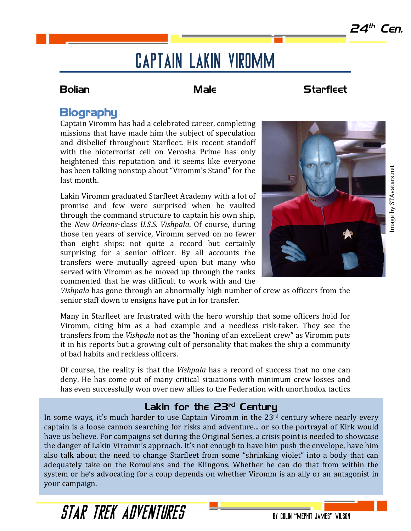# Captain Lakin Viromm

## **Bolian Male** Male Starfleet

# **Biography**

Captain Viromm has had a celebrated career, completing missions that have made him the subject of speculation and disbelief throughout Starfleet. His recent standoff with the bioterrorist cell on Verosha Prime has only heightened this reputation and it seems like everyone has been talking nonstop about "Viromm's Stand" for the last month.

Lakin Viromm graduated Starfleet Academy with a lot of promise and few were surprised when he vaulted through the command structure to captain his own ship, the *New Orleans-class U.S.S. Vishpala*. Of course, during those ten years of service, Viromm served on no fewer than eight ships: not quite a record but certainly surprising for a senior officer. By all accounts the transfers were mutually agreed upon but many who served with Viromm as he moved up through the ranks commented that he was difficult to work with and the



*Vishpala* has gone through an abnormally high number of crew as officers from the senior staff down to ensigns have put in for transfer.

Many in Starfleet are frustrated with the hero worship that some officers hold for Viromm, citing him as a bad example and a needless risk-taker. They see the transfers from the *Vishpala* not as the "honing of an excellent crew" as Viromm puts it in his reports but a growing cult of personality that makes the ship a community of bad habits and reckless officers.

Of course, the reality is that the *Vishpala* has a record of success that no one can deny. He has come out of many critical situations with minimum crew losses and has even successfully won over new allies to the Federation with unorthodox tactics

## Lakin for the  $23<sup>rd</sup>$  Century

In some ways, it's much harder to use Captain Viromm in the  $23<sup>rd</sup>$  century where nearly every captain is a loose cannon searching for risks and adventure... or so the portrayal of Kirk would have us believe. For campaigns set during the Original Series, a crisis point is needed to showcase the danger of Lakin Viromm's approach. It's not enough to have him push the envelope, have him also talk about the need to change Starfleet from some "shrinking violet" into a body that can adequately take on the Romulans and the Klingons. Whether he can do that from within the system or he's advocating for a coup depends on whether Viromm is an ally or an antagonist in your campaign.